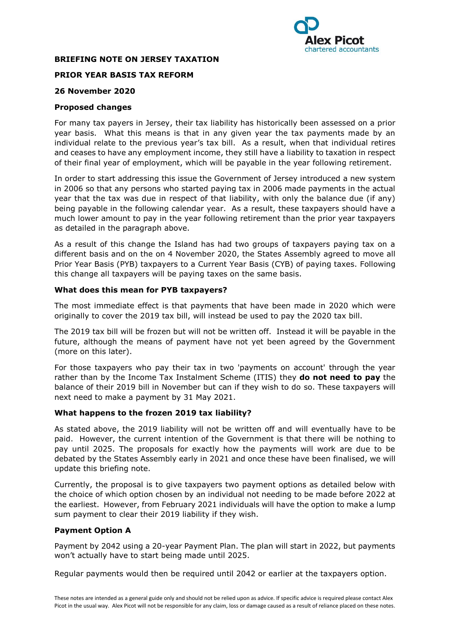

# **BRIEFING NOTE ON JERSEY TAXATION**

# **PRIOR YEAR BASIS TAX REFORM**

# **26 November 2020**

### **Proposed changes**

For many tax payers in Jersey, their tax liability has historically been assessed on a prior year basis. What this means is that in any given year the tax payments made by an individual relate to the previous year's tax bill. As a result, when that individual retires and ceases to have any employment income, they still have a liability to taxation in respect of their final year of employment, which will be payable in the year following retirement.

In order to start addressing this issue the Government of Jersey introduced a new system in 2006 so that any persons who started paying tax in 2006 made payments in the actual year that the tax was due in respect of that liability, with only the balance due (if any) being payable in the following calendar year. As a result, these taxpayers should have a much lower amount to pay in the year following retirement than the prior year taxpayers as detailed in the paragraph above.

As a result of this change the Island has had two groups of taxpayers paying tax on a different basis and on the on 4 November 2020, the States Assembly agreed to move all Prior Year Basis (PYB) taxpayers to a Current Year Basis (CYB) of paying taxes. Following this change all taxpayers will be paying taxes on the same basis.

#### **What does this mean for PYB taxpayers?**

The most immediate effect is that payments that have been made in 2020 which were originally to cover the 2019 tax bill, will instead be used to pay the 2020 tax bill.

The 2019 tax bill will be frozen but will not be written off. Instead it will be payable in the future, although the means of payment have not yet been agreed by the Government (more on this later).

For those taxpayers who pay their tax in two 'payments on account' through the year rather than by the Income Tax Instalment Scheme (ITIS) they **do not need to pay** the balance of their 2019 bill in November but can if they wish to do so. These taxpayers will next need to make a payment by 31 May 2021.

## **What happens to the frozen 2019 tax liability?**

As stated above, the 2019 liability will not be written off and will eventually have to be paid. However, the current intention of the Government is that there will be nothing to pay until 2025. The proposals for exactly how the payments will work are due to be debated by the States Assembly early in 2021 and once these have been finalised, we will update this briefing note.

Currently, the proposal is to give taxpayers two payment options as detailed below with the choice of which option chosen by an individual not needing to be made before 2022 at the earliest. However, from February 2021 individuals will have the option to make a lump sum payment to clear their 2019 liability if they wish.

## **Payment Option A**

Payment by 2042 using a 20-year Payment Plan. The plan will start in 2022, but payments won't actually have to start being made until 2025.

Regular payments would then be required until 2042 or earlier at the taxpayers option.